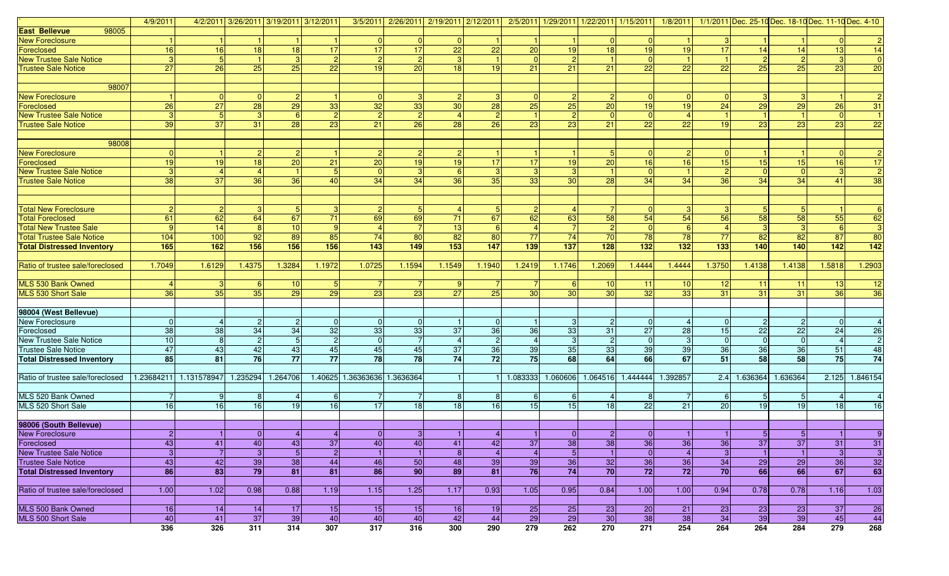|                                   | 4/9/2011       |                        |                   |                | 4/2/2011 3/26/2011 3/19/2011 3/12/2011 |                              |                 | 3/5/2011 2/26/2011 2/19/2011 2/12/2011 2/5/2011 1/29/2011 1/22/2011 1/15/2011 1/8/2011 |                 |                 |                 |                 |                 |                |                | 1/1/2011 Dec. 25-10 Dec. 18-10 Dec. 11-10 Dec. 4-10 |                 |                 |                 |
|-----------------------------------|----------------|------------------------|-------------------|----------------|----------------------------------------|------------------------------|-----------------|----------------------------------------------------------------------------------------|-----------------|-----------------|-----------------|-----------------|-----------------|----------------|----------------|-----------------------------------------------------|-----------------|-----------------|-----------------|
| <b>East Bellevue</b><br>98005     |                |                        |                   |                |                                        |                              |                 |                                                                                        |                 |                 |                 |                 |                 |                |                |                                                     |                 |                 |                 |
| <b>New Foreclosure</b>            |                |                        |                   |                |                                        | $\overline{0}$               | $\Omega$        | $\Omega$                                                                               |                 |                 |                 | $\Omega$        | $\overline{0}$  |                |                |                                                     |                 |                 |                 |
| Foreclosed                        | 16             | 16                     | 18                | 18             | 17 <sup>1</sup>                        | 17                           | $\overline{17}$ | 22                                                                                     | 22              | 20              | 19              | 18              | 19              | 19             | 17             | 14                                                  | 14              | 13              | 14              |
| <b>New Trustee Sale Notice</b>    | 3              |                        |                   | 3              |                                        | $\overline{2}$               | $\overline{2}$  | 3                                                                                      |                 |                 |                 |                 | $\Omega$        |                |                | $\overline{2}$                                      |                 |                 | $\mathbf{0}$    |
| <b>Trustee Sale Notice</b>        | 27             | 26                     | 25                | 25             | 22                                     | 19                           | 20              | 18                                                                                     | 19 <sup>1</sup> | 21              | 21              | 21              | 22              | 22             | 22             | 25                                                  | 25              | 23              | $\overline{20}$ |
|                                   |                |                        |                   |                |                                        |                              |                 |                                                                                        |                 |                 |                 |                 |                 |                |                |                                                     |                 |                 |                 |
| 98007                             |                |                        |                   |                |                                        |                              |                 |                                                                                        |                 |                 |                 |                 |                 |                |                |                                                     |                 |                 |                 |
| <b>New Foreclosure</b>            |                |                        | $\Omega$          |                |                                        |                              | -3              |                                                                                        | 3 <sup>1</sup>  |                 |                 |                 | 0               | $\Omega$       |                |                                                     |                 |                 |                 |
| Foreclosed                        | 26             | 27                     | 28                | 29             | 33                                     | 32                           | 33              | 30                                                                                     | 28              | 25              | 25              | 20              | 19 <sup>1</sup> | 19             | 24             | 29                                                  | 29              | 26              | 31              |
| <b>New Trustee Sale Notice</b>    | 3              |                        | 3                 | 6              |                                        | $\overline{2}$               | $\overline{2}$  |                                                                                        | $\overline{2}$  |                 |                 | $\Omega$        | $\Omega$        |                |                |                                                     |                 |                 |                 |
| <b>Trustee Sale Notice</b>        | 39             | 37                     | 31                | 28             | 23                                     | 21                           | $\overline{26}$ | 28                                                                                     | 26              | $\overline{23}$ | 23              | 21              | 22              | 22             | 19             | 23                                                  | 23              | 23              | $\overline{22}$ |
|                                   |                |                        |                   |                |                                        |                              |                 |                                                                                        |                 |                 |                 |                 |                 |                |                |                                                     |                 |                 |                 |
| 98008                             |                |                        |                   |                |                                        |                              |                 |                                                                                        |                 |                 |                 |                 |                 |                |                |                                                     |                 |                 |                 |
| <b>New Foreclosure</b>            | $\Omega$       |                        |                   |                |                                        | 2                            |                 |                                                                                        |                 |                 |                 |                 | $\Omega$        |                |                |                                                     |                 |                 |                 |
| Foreclosed                        | 19             | 19                     | 18                | 20             | 21                                     | 20                           | 19              | 19                                                                                     | 17              | 17              | 19              | 20              | 16              | 16             | 15             | 15                                                  | 15              | 16              | 17              |
| <b>New Trustee Sale Notice</b>    | 3              |                        | $\overline{4}$    |                |                                        | $\Omega$                     | 3               | 6                                                                                      | 3               | 3               |                 |                 | $\Omega$        |                | $\mathcal{P}$  | $\Omega$                                            |                 |                 | $\overline{2}$  |
| <b>Trustee Sale Notice</b>        | 38             | 37                     | 36                | 36             | 40                                     | 34                           | 34              | 36                                                                                     | 35              | 33              | 30              | 28              | 34              | 34             | 36             | 34                                                  | 34              | 41              | 38              |
|                                   |                |                        |                   |                |                                        |                              |                 |                                                                                        |                 |                 |                 |                 |                 |                |                |                                                     |                 |                 |                 |
|                                   |                |                        |                   |                |                                        |                              |                 |                                                                                        |                 |                 |                 |                 |                 |                |                |                                                     |                 |                 |                 |
| <b>Total New Foreclosure</b>      | 2              |                        | 3                 |                |                                        |                              |                 |                                                                                        |                 |                 |                 |                 | $\Omega$        |                |                |                                                     |                 |                 |                 |
| <b>Total Foreclosed</b>           | 61             | 62                     | 64                | 67             | 71                                     | 69                           | 69              | 71                                                                                     | 67              | 62              | 63              | 58              | 54              | 54             | 56             | 58                                                  | 58              | 55              | 62              |
| <b>Total New Trustee Sale</b>     | $\mathbf{Q}$   | 14                     | 8                 | 10             |                                        |                              |                 | 13                                                                                     | $6 \mid$        |                 |                 | $\overline{2}$  | $\Omega$        | -6             |                | з                                                   |                 | 6               | $\overline{3}$  |
| <b>Total Trustee Sale Notice</b>  | 104            | 100                    | 92                | 89             | 85                                     | 74                           | 80              | 82                                                                                     | 80              | 77              | 74              | 70              | 78              | 78             | 77             | 82                                                  | 82              | 87              | 80              |
| <b>Total Distressed Inventory</b> | 165            | 162                    | 156               | 156            | 156                                    | 143                          | 149             | 153                                                                                    | $\boxed{147}$   | 139             | $\frac{1}{137}$ | 128             | $132$           | 132            | 133            | 140                                                 | 140             | $142$           | $142$           |
|                                   |                |                        |                   |                |                                        |                              |                 |                                                                                        |                 |                 |                 |                 |                 |                |                |                                                     |                 |                 |                 |
| Ratio of trustee sale/foreclosed  | 1.7049         | 1.6129                 | 1.4375            | 1.3284         | 1.1972                                 | 1.0725                       | 1.1594          | 1.1549                                                                                 | 1.1940          | 1.2419          | 1.1746          | 1.2069          | 1.4444          | 1.4444         | 1.3750         | 1.4138                                              | 1.4138          | 1.5818          | 1.2903          |
|                                   |                |                        |                   |                |                                        |                              |                 |                                                                                        |                 |                 |                 |                 |                 |                |                |                                                     |                 |                 |                 |
| MLS 530 Bank Owned                |                |                        | -6                | 10             |                                        |                              |                 |                                                                                        |                 |                 |                 | 10              | 11              | 10             | 12             | 11                                                  | 11              | -13             | 12              |
| MLS 530 Short Sale                | 36             | 35                     | 35                | 29             | 29                                     | 23                           | 23              | 27                                                                                     | 25              | 30              | 30              | 30              | 32              | 33             | 31             | 31                                                  | 31              | 36              | 36              |
|                                   |                |                        |                   |                |                                        |                              |                 |                                                                                        |                 |                 |                 |                 |                 |                |                |                                                     |                 |                 |                 |
| 98004 (West Bellevue)             |                |                        |                   |                |                                        |                              |                 |                                                                                        |                 |                 |                 |                 |                 |                |                |                                                     |                 |                 |                 |
| New Foreclosure                   |                |                        | $\overline{2}$    | $\overline{2}$ |                                        | $\Omega$                     | $\Omega$        |                                                                                        | $\overline{0}$  |                 |                 | $\overline{2}$  | $\overline{0}$  |                |                | $\overline{2}$                                      |                 |                 |                 |
| Foreclosed                        | 38             | 38                     | 34                | 34             | $\overline{32}$                        | 33                           | 33              | 37                                                                                     | 36              | $\overline{36}$ | 33              | 31              | 27              | 28             | 15             | $\overline{22}$                                     | $\overline{22}$ | 24              | $\overline{26}$ |
| <b>New Trustee Sale Notice</b>    | 10             | 8                      | $\overline{c}$    | 5 <sub>5</sub> | $\overline{2}$                         | $\mathbf 0$                  | $\overline{7}$  | $\overline{4}$                                                                         | $\overline{2}$  | $\overline{4}$  | 3               | $\overline{c}$  | $\overline{0}$  |                | $\overline{0}$ | $\overline{0}$                                      | - 0             | $\overline{4}$  | $\overline{2}$  |
| <b>Trustee Sale Notice</b>        | 47             | 43                     | 42                | 43             | 45                                     | 45                           | 45              | 37                                                                                     | 36              | 39              | 35              | 33              | 39              | 39             | 36             | 36                                                  | 36              | 51              | 48              |
| <b>Total Distressed Inventory</b> | 85             | 81                     | 76                | 77             | 77                                     | 78                           | 78              | 74                                                                                     | 72              | 75              | 68              | 64              | 66              | 67             | 51             | 58                                                  | 58              | 75              | 74              |
|                                   |                |                        |                   |                |                                        |                              |                 |                                                                                        |                 |                 |                 |                 |                 |                |                |                                                     |                 |                 |                 |
| Ratio of trustee sale/foreclosed  |                | 1.23684211 1.131578947 | 1.235294          | 1.264706       |                                        | 1.40625 1.36363636 1.3636364 |                 |                                                                                        |                 | 1.083333        | 1.060606        | 1.064516        | 1.444444        | 1.392857       |                | 2.4 1.636364                                        | 1.636364        | 2.125           | 1.846154        |
|                                   |                |                        |                   |                |                                        |                              |                 |                                                                                        |                 |                 |                 |                 |                 |                |                |                                                     |                 |                 |                 |
| MLS 520 Bank Owned                |                |                        | 8                 |                | 6                                      |                              |                 | 8                                                                                      | 8 <sup>1</sup>  | 6               | 6               |                 | 8               |                | 6              | $5\overline{)}$                                     |                 |                 |                 |
| MLS 520 Short Sale                | 16             | 16                     | 16                | 19             | 16 <sup>1</sup>                        | 17                           | $\frac{1}{8}$   | 18                                                                                     | 16              | 15              | 15              | 18              | 22              | 21             | 20             | 19                                                  | 19              | 18 <sup>1</sup> | 16              |
|                                   |                |                        |                   |                |                                        |                              |                 |                                                                                        |                 |                 |                 |                 |                 |                |                |                                                     |                 |                 |                 |
| 98006 (South Bellevue)            |                |                        |                   |                |                                        |                              |                 |                                                                                        |                 |                 |                 |                 |                 |                |                |                                                     |                 |                 |                 |
| <b>New Foreclosure</b>            | $\overline{2}$ |                        | $\Omega$          |                |                                        | $\overline{0}$               | 3               |                                                                                        |                 |                 |                 | $\overline{2}$  | $\mathbf{0}$    |                |                | 5                                                   |                 |                 |                 |
| Foreclosed                        | 43             | 41                     | 40                | 43             | 37 <sup>1</sup>                        | 40                           | 40              | 41                                                                                     | 42              | 37              | 38              | 38              | 36              | 36             | 36             | 37                                                  | 37              | 31              | 31              |
| <b>New Trustee Sale Notice</b>    | 3              | $\overline{7}$         | $\lceil 3 \rceil$ | $\overline{5}$ | $\overline{2}$                         | $\vert$ 1                    |                 | 8 <sup>1</sup>                                                                         | $\vert$ 4       | $\overline{4}$  | 5 <sup>1</sup>  |                 | 0               | $\overline{4}$ | $\overline{a}$ | $\vert$ 1                                           | $\overline{1}$  | 3 <sup>1</sup>  | $\overline{3}$  |
| <b>Trustee Sale Notice</b>        | 43             | 42                     | 39                | 38             | 44                                     | 46                           | 50              | 48                                                                                     | 39              | 39              | 36              | 32              | 36              | 36             | 34             | 29                                                  | 29              | 36              | 32              |
| <b>Total Distressed Inventory</b> | 86             | 83                     | 79                | 81             | 81                                     | 86                           | 90              | 89                                                                                     | 81              | 76              | 74              | 70              | 72              | 72             | 70             | 66                                                  | 66              | 67              | 63              |
|                                   |                |                        |                   |                |                                        |                              |                 |                                                                                        |                 |                 |                 |                 |                 |                |                |                                                     |                 |                 |                 |
| Ratio of trustee sale/foreclosed  | 1.00           | 1.02                   | 0.98              | 0.88           | 1.19                                   | 1.15                         | 1.25            | 1.17                                                                                   | 0.93            | 1.05            | 0.95            | 0.84            | 1.00            | 1.00           | 0.94           | 0.78                                                | 0.78            | 1.16            | 1.03            |
|                                   |                |                        |                   |                |                                        |                              |                 |                                                                                        |                 |                 |                 |                 |                 |                |                |                                                     |                 |                 |                 |
| MLS 500 Bank Owned                | 16             | 14                     | 14                | 17             | 15                                     | 15                           | 15              | 16                                                                                     | 19              | 25              | 25              | 23              | 20              | 21             | 23             | 23                                                  | 23              | 37              | 26              |
| MLS 500 Short Sale                | 40             | 41                     | 37                | 39             | 40                                     | 40                           | 40              | 42                                                                                     | 44              | 29              | $\overline{29}$ | 30 <sup>°</sup> | 38              | 38             | 34             | 39                                                  | 39              | 45              | 44              |
|                                   | 336            | 326                    | 311               | 314            | 307                                    | 317                          | 316             | 300                                                                                    | 290             | 279             | 262             | 270             | 271             | 254            | 264            | 264                                                 | 284             | 279             | 268             |
|                                   |                |                        |                   |                |                                        |                              |                 |                                                                                        |                 |                 |                 |                 |                 |                |                |                                                     |                 |                 |                 |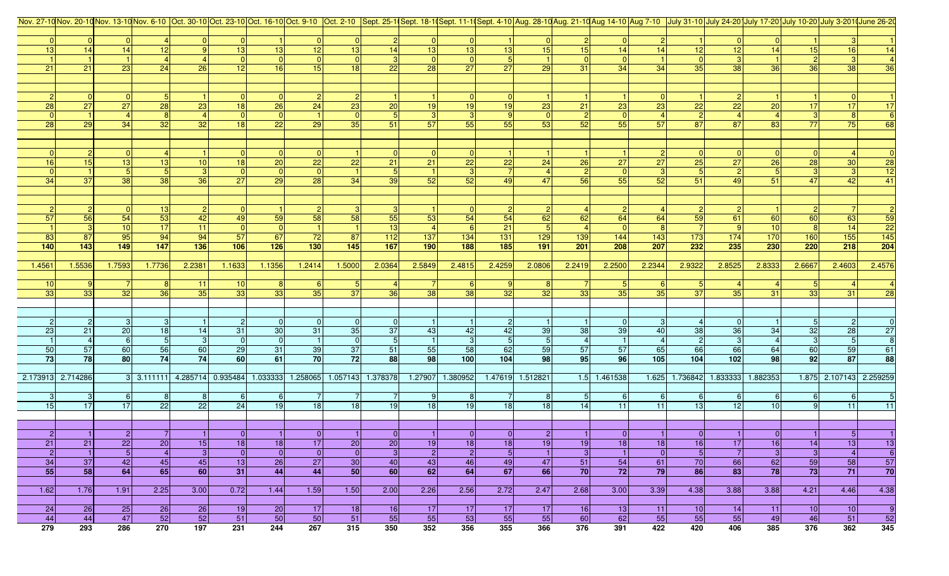|                      |                      |                      |                   |                                                                  |                 |                  |                      |                         |                  |                |                  |                        | Nov. 27-10Nov. 20-10Nov. 13-10Nov. 6-10 Oct. 30-10Oct. 23-10Oct. 23-10Oct. 16-10Oct. 9-10 Oct. 2-10 Sept. 25-10Sept. 18-10Sept. 11-10Sept. 4-10 Aug. 28-10 Aug. 21-10 Aug. 21-10 Aug 7-10 July 31-10 July 24-20 July 17-20 Jul |                      |                |                  |                 |                         |          |                 |                         |                       |
|----------------------|----------------------|----------------------|-------------------|------------------------------------------------------------------|-----------------|------------------|----------------------|-------------------------|------------------|----------------|------------------|------------------------|--------------------------------------------------------------------------------------------------------------------------------------------------------------------------------------------------------------------------------|----------------------|----------------|------------------|-----------------|-------------------------|----------|-----------------|-------------------------|-----------------------|
|                      |                      |                      |                   |                                                                  |                 |                  |                      |                         |                  |                |                  |                        |                                                                                                                                                                                                                                |                      |                |                  |                 |                         |          |                 |                         |                       |
|                      | $\Omega$             |                      |                   |                                                                  |                 |                  | $\overline{0}$       |                         |                  | 0              | $\overline{0}$   |                        |                                                                                                                                                                                                                                | $\overline{2}$       | $\overline{0}$ |                  |                 |                         |          |                 |                         |                       |
| 13                   | 14                   | 14                   | 12                |                                                                  | 13              | 13               | 12                   | 13                      | 14               | 13             | 13               | 13                     | 15                                                                                                                                                                                                                             | 15                   | 14             | 14               | 12              | 12                      | 14       | 15              | 16                      |                       |
|                      |                      |                      |                   |                                                                  |                 |                  | $\overline{0}$       |                         |                  | 0              |                  |                        |                                                                                                                                                                                                                                | $\Omega$             | $\Omega$       |                  |                 |                         |          | 2 <sup>1</sup>  |                         |                       |
| 21                   | 21                   | 23                   | 24                | 26                                                               | 12              | 16               | 15                   | 18                      | 22               | 28             | 27               | 27                     | 29                                                                                                                                                                                                                             | 31                   | 34             | 34               | 35              | 38                      | 36       | 36              | 38                      | 36                    |
|                      |                      |                      |                   |                                                                  |                 |                  |                      |                         |                  |                |                  |                        |                                                                                                                                                                                                                                |                      |                |                  |                 |                         |          |                 |                         |                       |
|                      |                      |                      |                   |                                                                  |                 |                  |                      |                         |                  |                |                  |                        |                                                                                                                                                                                                                                |                      |                |                  |                 |                         |          |                 |                         |                       |
| 28                   | $\overline{0}$<br>27 | 27                   | 28                | 23                                                               | 18              | 26               | 24                   | 23                      | 20               | 19             | 19               | 19                     | 23                                                                                                                                                                                                                             | 21                   | 23             | 23               | 22              | 22                      | 20       | 17 <sup>1</sup> | 17                      | 17                    |
|                      |                      |                      | 8                 |                                                                  | $\Omega$        |                  |                      |                         |                  | 3              | $\mathbf{3}$     |                        |                                                                                                                                                                                                                                | $\overline{2}$       | $\overline{0}$ |                  |                 |                         |          |                 |                         |                       |
| 28                   | 29                   | 34                   | 32                | 32                                                               | 18              | 22               | 29                   | 35                      | 51               | 57             | 55               | 55                     | 53                                                                                                                                                                                                                             | 52                   | 55             | 57               | 87              | 87                      | 83       | 77              | 75                      | 68                    |
|                      |                      |                      |                   |                                                                  |                 |                  |                      |                         |                  |                |                  |                        |                                                                                                                                                                                                                                |                      |                |                  |                 |                         |          |                 |                         |                       |
|                      |                      |                      |                   |                                                                  |                 |                  |                      |                         |                  |                |                  |                        |                                                                                                                                                                                                                                |                      |                |                  |                 |                         |          |                 |                         |                       |
|                      |                      |                      |                   |                                                                  |                 |                  |                      |                         |                  | $\overline{0}$ |                  |                        |                                                                                                                                                                                                                                |                      |                |                  |                 |                         |          |                 |                         |                       |
| 16                   | 15                   | 13                   | 13                | 10                                                               | 18              | 20 <sup>1</sup>  | 22                   | $\overline{22}$         | 21               | 21             | 22               | 22                     | 24                                                                                                                                                                                                                             | 26                   | 27             | <b>27</b>        | 25              | 27                      | 26       | 28              | 30                      | $28\,$                |
|                      |                      |                      | 5 <sub>5</sub>    |                                                                  |                 |                  |                      |                         |                  |                |                  |                        |                                                                                                                                                                                                                                |                      | $\overline{0}$ |                  |                 |                         |          |                 |                         | $\overline{12}$       |
| 34                   | 37                   | 38                   | 38                | 36                                                               | 27              | 29               | 28                   | 34                      | 39               | 52             | 52               | 49                     | 47                                                                                                                                                                                                                             | <b>56</b>            | 55             | 52               | 51              | 49                      | 51       | 47              | 42                      | 41                    |
|                      |                      |                      |                   |                                                                  |                 |                  |                      |                         |                  |                |                  |                        |                                                                                                                                                                                                                                |                      |                |                  |                 |                         |          |                 |                         |                       |
|                      |                      |                      |                   |                                                                  |                 |                  |                      |                         |                  |                |                  |                        |                                                                                                                                                                                                                                |                      |                |                  |                 |                         |          |                 |                         |                       |
|                      |                      |                      | 13                |                                                                  |                 |                  | $\mathbf{2}$         |                         |                  |                |                  |                        |                                                                                                                                                                                                                                |                      |                |                  | $\vert$ 2       |                         |          | $\overline{2}$  |                         |                       |
| 57                   | 56                   | 54                   | 53                | 42                                                               | 49              | 59               | 58                   | 58                      | 55               | 53             | 54               | 54                     | 62                                                                                                                                                                                                                             | 62                   | 64             | 64               | 59              | 61                      | 60       | 60              | 63                      | $\frac{59}{22}$       |
|                      | 3                    | 10                   | 17                | 11                                                               |                 |                  |                      |                         | 13               |                |                  | 21                     |                                                                                                                                                                                                                                |                      |                |                  |                 |                         | 10       |                 | 14                      |                       |
| 83                   | 87                   | 95                   | 94                | 94                                                               | 57              | 67               | 72                   | 87                      | $\overline{112}$ | $137$          | $134$            | $131$                  | 129                                                                                                                                                                                                                            | 139                  | $\boxed{144}$  | 143              | $173$           | $174$                   | 170      | 160             | 155                     | $\overline{145}$      |
| 140                  | 143                  | 149                  | $147$             | 136                                                              | 106             | 126              | 130                  | 145                     | 167              | 190            | 188              | 185                    | 191                                                                                                                                                                                                                            | 201                  | 208            | 207              | 232             | 235                     | 230      | 220             | 218                     | 204                   |
|                      |                      |                      |                   |                                                                  |                 |                  |                      |                         |                  |                |                  |                        |                                                                                                                                                                                                                                |                      |                |                  |                 |                         |          |                 |                         |                       |
| 1.4561               | 1.5536               | 1.7593               | 1.7736            | 2.2381                                                           | 1.1633          | 1.1356           | 1.2414               | 1.5000                  | 2.0364           | 2.5849         | 2.4815           | 2.4259                 | 2.0806                                                                                                                                                                                                                         | 2.2419               | 2.2500         | 2.2344           | 2.9322          | 2.8525                  | 2.8333   | 2.6667          | 2.4603                  | 2.4576                |
| 10                   |                      |                      | 8                 | 11                                                               | 10 <sup>1</sup> |                  |                      |                         |                  |                |                  |                        |                                                                                                                                                                                                                                |                      |                |                  | -51             |                         |          |                 |                         |                       |
| 33                   | 33                   | 32                   | 36                | 35                                                               | 33              | 33               | -61<br>35            | 37                      | 36               | 38             | 38               | 32                     | 32                                                                                                                                                                                                                             | 33                   | 35             | 35               | 37              | 35                      | 31       | 33              | 31                      |                       |
|                      |                      |                      |                   |                                                                  |                 |                  |                      |                         |                  |                |                  |                        |                                                                                                                                                                                                                                |                      |                |                  |                 |                         |          |                 |                         |                       |
|                      |                      |                      |                   |                                                                  |                 |                  |                      |                         |                  |                |                  |                        |                                                                                                                                                                                                                                |                      |                |                  |                 |                         |          |                 |                         |                       |
|                      | $\overline{2}$       |                      | $\lceil 3 \rceil$ |                                                                  |                 |                  |                      | -01                     |                  |                |                  |                        |                                                                                                                                                                                                                                |                      | $\Omega$       |                  |                 |                         |          |                 |                         |                       |
| 23                   | 21                   | 20                   | 18                | 14                                                               | 31              | 30               | 31                   | 35                      | 37               | 43             | 42               | 42                     | 39                                                                                                                                                                                                                             | 38                   | 39             | 40               | 38              | 36                      | 34       | 32              | 28                      | <b>27</b>             |
|                      |                      |                      | $5\overline{)}$   |                                                                  | 0               | $\overline{0}$   |                      |                         | 5 <sub>5</sub>   |                | 3                | $\sqrt{5}$             |                                                                                                                                                                                                                                |                      |                |                  |                 |                         |          |                 | $5\phantom{.0}$         |                       |
| 50                   | 57                   | 60                   | 56                | 60                                                               | 29              | 31               | 39                   | 37                      | 51               | 55             | 58               | 62                     | 59                                                                                                                                                                                                                             | 57                   | 57             | 65               | 66              | 66                      | 64       | 60              | 59                      | 61                    |
| 73                   | 78                   | 80                   | 74                | 74                                                               | 60              | 61               | 70                   | 72                      | 88               | 98             | 100              | 104                    | 98                                                                                                                                                                                                                             | 95                   | 96             | 105              | 104             | $102$                   | 98       | 92              | 87                      | 88                    |
|                      |                      |                      |                   |                                                                  |                 |                  |                      |                         |                  |                |                  |                        |                                                                                                                                                                                                                                |                      |                |                  |                 |                         |          |                 |                         |                       |
| 2.173913 2.714286    |                      |                      |                   | 3 3.111111 4.285714 0.935484 1.033333 1.258065 1.057143 1.378378 |                 |                  |                      |                         |                  |                | 1.27907 1.380952 |                        | 1.47619 1.512821                                                                                                                                                                                                               |                      | 1.5 1.461538   |                  |                 | 1.625 1.736842 1.833333 | 1.882353 |                 | 1.875 2.107143 2.259259 |                       |
|                      |                      |                      |                   |                                                                  |                 |                  |                      |                         |                  |                |                  |                        |                                                                                                                                                                                                                                |                      |                |                  |                 |                         |          |                 |                         |                       |
|                      | $\mathbf{3}$         |                      | 8                 |                                                                  | $6 \mid$        | $6 \overline{6}$ |                      |                         |                  | 9              | 8 <sup>1</sup>   |                        |                                                                                                                                                                                                                                | 5                    | $6 \mid$       | $6 \overline{6}$ | -61             |                         | 6        | $6 \mid$        | 6                       |                       |
| 15                   | 17                   | 17                   | $\overline{22}$   | $\overline{22}$                                                  | 24              | 19               | 18                   | 18                      | 19 <sup>1</sup>  | 18             | 19               | 18                     | 18                                                                                                                                                                                                                             | 14                   | 11             | $\overline{11}$  | 13              | 12                      | 10       |                 | 11                      | 11                    |
|                      |                      |                      |                   |                                                                  |                 |                  |                      |                         |                  |                |                  |                        |                                                                                                                                                                                                                                |                      |                |                  |                 |                         |          |                 |                         |                       |
|                      |                      |                      |                   |                                                                  | $\overline{0}$  |                  |                      |                         |                  |                | 0                |                        |                                                                                                                                                                                                                                |                      | $\overline{0}$ |                  | $\overline{0}$  |                         |          |                 |                         |                       |
| $\overline{2}$<br>21 | 21                   | $\overline{2}$<br>22 | 20                | 15                                                               | 18              | 18               | $\overline{0}$<br>17 | 20                      | 01<br>20         | 19             | 18               | $\overline{0}$         | 2 <sup>1</sup><br>19                                                                                                                                                                                                           |                      | 18             | 18               |                 | 17                      | - 0 I    | 14              | 5 <sub>l</sub>          |                       |
| $\vert$ 2            | $\vert$ 1            | $\overline{5}$       | $\overline{4}$    | 3                                                                | 0               | 0                | 0                    | $\overline{\mathbf{0}}$ | 3                | $\overline{2}$ | $\vert$ 2        | 18 <br>$5\phantom{.0}$ |                                                                                                                                                                                                                                | 19<br>$\overline{3}$ | $\vert$ 1      | 0                | 16<br>5         | <b>71</b>               | 16<br> 3 | 3               | 13 <br>$\overline{4}$   | 13 <br>$\overline{6}$ |
| 34                   | 37                   | 42                   | 45                | 45                                                               | 13              | 26               | 27                   | 30                      | 40               | 43             | 46               | 49                     | 47                                                                                                                                                                                                                             | 51                   | 54             | 61               | 70              | 66                      | 62       | 59              | 58                      | 57                    |
| 55                   | 58                   | 64                   | 65                | 60                                                               | 31              | 44               | 44                   | 50 <sub>1</sub>         | <b>60</b>        | 62             | 64               | 67                     | 66                                                                                                                                                                                                                             | 70                   | 72             | 79               | 86              | 83                      | 78       | 73              | 71                      | 70                    |
|                      |                      |                      |                   |                                                                  |                 |                  |                      |                         |                  |                |                  |                        |                                                                                                                                                                                                                                |                      |                |                  |                 |                         |          |                 |                         |                       |
| 1.62                 | 1.76                 | 1.91                 | 2.25              | 3.00                                                             | 0.72            | 1.44             | 1.59                 | 1.50                    | 2.00             | 2.26           | 2.56             | 2.72                   | 2.47                                                                                                                                                                                                                           | 2.68                 | 3.00           | 3.39             | 4.38            | 3.88                    | 3.88     | 4.21            | 4.46                    | 4.38                  |
|                      |                      |                      |                   |                                                                  |                 |                  |                      |                         |                  |                |                  |                        |                                                                                                                                                                                                                                |                      |                |                  |                 |                         |          |                 |                         |                       |
| 24                   | 26                   | 25                   | 26                | 26                                                               | 19              | 20 <sup>1</sup>  | 17                   | 18                      | 16               | 17             | 17               | 17                     | 17                                                                                                                                                                                                                             | 16                   | 13             | 11               | 10 <sup>1</sup> | 14                      | $-11$    | 10 <sup>1</sup> | 10                      | -9                    |
| 44                   | 44                   | 47                   | $\overline{52}$   | 52                                                               | 51              | 50               | 50                   | 51                      | 55               | 55             | 53               | $-55$                  | 55                                                                                                                                                                                                                             | 60                   | 62             | 55               | 55              | 55                      | 49       | 46              | 51                      | 52                    |
| 279                  | 293                  | 286                  | 270               | 197                                                              | 231             | 244              | 267                  | 315                     | 350              | 352            | 356              | 355                    | 366                                                                                                                                                                                                                            | 376                  | 391            | 422              | 420             | 406                     | 385      | 376             | 362                     | 345                   |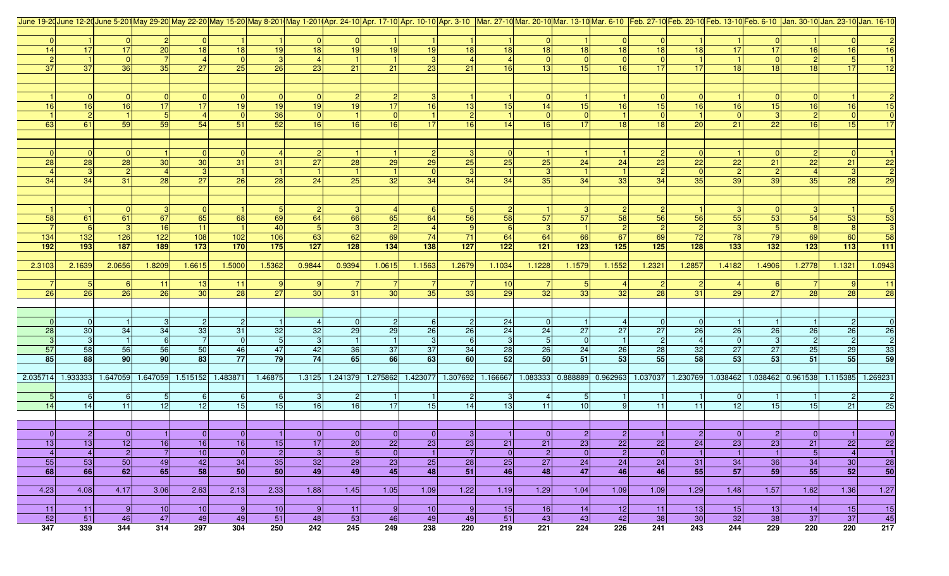|                 |                 |                      |                      |                                     |                 |                |              |                 |                      |                            |                 |                 |                      |                 |                |                                     | June 19-20 June 12-20 June 5-20 May 29-20 May 22-20 May 15-20 May 8-201 May 1-201 Apr. 24-10 Apr. 17-10 Apr. 10-10 Apr. 3-10 Mar. 27-10 Mar. 20-10 Mar. 13-10 Mar. 13-10 Feb. 27-10 Feb. 20-10 Feb. 13-10 Feb. 13-10 Feb. 13-1 |                 |                |                                     |                 |                 |
|-----------------|-----------------|----------------------|----------------------|-------------------------------------|-----------------|----------------|--------------|-----------------|----------------------|----------------------------|-----------------|-----------------|----------------------|-----------------|----------------|-------------------------------------|--------------------------------------------------------------------------------------------------------------------------------------------------------------------------------------------------------------------------------|-----------------|----------------|-------------------------------------|-----------------|-----------------|
|                 |                 |                      |                      |                                     |                 |                |              |                 |                      |                            |                 |                 |                      |                 |                |                                     |                                                                                                                                                                                                                                |                 |                |                                     |                 |                 |
|                 |                 |                      |                      |                                     |                 |                |              |                 |                      |                            |                 |                 | $\overline{0}$       |                 | $\overline{0}$ |                                     |                                                                                                                                                                                                                                |                 |                |                                     |                 |                 |
| 14              | 17              | 17                   | 20                   | 18                                  | 18              | 19             | 18           | 19              | 19                   | 19                         | 18              | 18              | 18                   | 18              | 18             | 18                                  | 18                                                                                                                                                                                                                             |                 | 17             | 16                                  | 16 <sup>1</sup> | 16              |
|                 |                 |                      |                      |                                     |                 |                |              |                 |                      |                            |                 |                 | $\Omega$             |                 | $\mathbf{0}$   |                                     |                                                                                                                                                                                                                                |                 |                |                                     |                 |                 |
| 37              | 37              | 36                   | 35                   | 27                                  | 25              | 26             | 23           | 21              | 21                   | 23                         | 21              | 16 <sup>l</sup> | 13                   | 15              | 16             | 17                                  | -17                                                                                                                                                                                                                            | 18 <sup>1</sup> | 18             | 18 <sup>1</sup>                     | 17              | 12              |
|                 |                 |                      |                      |                                     |                 |                |              |                 |                      |                            |                 |                 |                      |                 |                |                                     |                                                                                                                                                                                                                                |                 |                |                                     |                 |                 |
|                 |                 |                      |                      |                                     |                 |                |              |                 |                      |                            |                 |                 |                      |                 |                |                                     |                                                                                                                                                                                                                                |                 |                |                                     |                 |                 |
|                 | $\overline{0}$  |                      |                      |                                     |                 |                |              |                 | $\overline{2}$       |                            |                 |                 |                      |                 |                |                                     |                                                                                                                                                                                                                                |                 |                |                                     |                 |                 |
| 16              | 16              | 16                   | 17                   | 17 <sup>1</sup>                     | 19              | 19             | 19           | 19 <sup>l</sup> | 17                   | 16                         | 13              | 15              | 14                   | 15              | 16             | 15                                  | 16                                                                                                                                                                                                                             | 16              | 15             | 16                                  | 16 <sup>1</sup> | 15              |
|                 | $\overline{2}$  |                      | 5 <sub>l</sub><br>59 | 54                                  | 51              | 36<br>52       |              | 16              | $\overline{0}$<br>16 | 17 <sup>1</sup>            | $\overline{2}$  | 14              | $\overline{0}$<br>16 | 17              |                | 18                                  |                                                                                                                                                                                                                                |                 |                |                                     | 15              | 17              |
| 63              | 61              | 59                   |                      |                                     |                 |                | 16           |                 |                      |                            | 16              |                 |                      |                 | 18             |                                     | 20                                                                                                                                                                                                                             | 21              | 22             | 16                                  |                 |                 |
|                 |                 |                      |                      |                                     |                 |                |              |                 |                      |                            |                 |                 |                      |                 |                |                                     |                                                                                                                                                                                                                                |                 |                |                                     |                 |                 |
|                 | $\overline{0}$  |                      |                      |                                     |                 |                |              |                 |                      |                            |                 |                 |                      |                 |                |                                     |                                                                                                                                                                                                                                |                 |                |                                     |                 |                 |
| 28              | $\overline{28}$ | 28                   | 30 <sub>o</sub>      | 30 <sup>1</sup>                     | 31              | 31             | 27           | 28              | 29                   | 29                         | $\overline{25}$ | 25              | 25                   | 24              | 24             | 23                                  | 22                                                                                                                                                                                                                             | 22              | 21             | 22                                  | 21              | 22              |
|                 | 3 <sup>1</sup>  |                      |                      | 3 <sup>1</sup>                      |                 |                |              |                 |                      |                            |                 |                 | $\mathbf{3}$         |                 |                |                                     |                                                                                                                                                                                                                                |                 |                |                                     |                 |                 |
| 34              | 34              | 31                   | 28                   | 27                                  | 26              | 28             | 24           | $\overline{25}$ | 32                   | 34                         | 34              | 34              | 35                   | 34              | 33             | 34                                  | 35                                                                                                                                                                                                                             | 39              | 39             | 35                                  | <b>28</b>       | $\overline{29}$ |
|                 |                 |                      |                      |                                     |                 |                |              |                 |                      |                            |                 |                 |                      |                 |                |                                     |                                                                                                                                                                                                                                |                 |                |                                     |                 |                 |
|                 |                 |                      |                      |                                     |                 |                |              |                 |                      |                            |                 |                 |                      |                 |                |                                     |                                                                                                                                                                                                                                |                 |                |                                     |                 |                 |
|                 |                 |                      | 3                    |                                     |                 |                |              |                 |                      | -61                        |                 |                 |                      |                 | $\overline{2}$ |                                     |                                                                                                                                                                                                                                |                 | - 0 I          |                                     |                 |                 |
| 58              | 61              | 61                   | 67                   | 65                                  | 68              | 69             | 64           | <b>66</b>       | 65                   | 64                         | 56              | 58              | 57                   | 57              | 58             | 56                                  | 56                                                                                                                                                                                                                             | 55              | 53             | 54                                  | 53              | 53              |
|                 | <b>6</b>        | 3                    | 16                   | 11                                  |                 | 40             |              |                 | $\vert$ 2            |                            |                 |                 | 3 <sup>l</sup>       |                 | $\overline{2}$ |                                     |                                                                                                                                                                                                                                |                 | 5 <sub>l</sub> |                                     |                 |                 |
| 134             | $\boxed{132}$   | 126                  | 122                  | 108                                 | $\frac{10}{2}$  | $\boxed{106}$  | 63           | 62              | 69                   | 74                         | $\overline{71}$ | 64              | 64                   | <b>66</b>       | 67             | 69                                  | 72                                                                                                                                                                                                                             | 78              | 79             | 69                                  | 60              | 58              |
| 192             | 193             | 187                  | 189                  | 173                                 | 170             | 175            | $127$        | 128             | 134                  | 138                        | 127             | 122             | 121                  | 123             | 125            | 125                                 | 128                                                                                                                                                                                                                            | $133$           | $132$          | 123                                 | $113$           | $111$           |
|                 |                 |                      |                      |                                     |                 |                |              |                 |                      |                            |                 |                 |                      |                 |                |                                     |                                                                                                                                                                                                                                |                 |                |                                     |                 |                 |
| 2.3103          | 2.1639          | 2.0656               | 1.8209               | 1.6615                              | 1.5000          | 1.5362         | 0.9844       | 0.9394          | 1.0615               | 1.1563                     | 1.2679          | 1.1034          | 1.1228               | 1.1579          | 1.1552         | 1.2321                              | 1.2857                                                                                                                                                                                                                         | 1.4182          | 1.4906         | 1.2778                              | 1.1321          | 1.0943          |
|                 |                 |                      |                      |                                     |                 |                |              |                 |                      |                            |                 |                 |                      |                 |                |                                     |                                                                                                                                                                                                                                |                 |                |                                     |                 |                 |
|                 | 5 <sub>l</sub>  |                      | $-11$                | 13 <sup>1</sup>                     | 11              |                |              |                 |                      |                            |                 | 10              |                      |                 |                |                                     |                                                                                                                                                                                                                                |                 |                |                                     |                 | 11              |
| 26              | 26              | 26                   | $\overline{26}$      | 30 <sup>1</sup>                     | 28              | 27             | 30           | 31              | 30                   | 35 <sup>1</sup>            | 33              | 29              | 32                   | 33              | 32             | 28                                  | 31                                                                                                                                                                                                                             | 29              | 27             | 28                                  | 28              | $\overline{28}$ |
|                 |                 |                      |                      |                                     |                 |                |              |                 |                      |                            |                 |                 |                      |                 |                |                                     |                                                                                                                                                                                                                                |                 |                |                                     |                 |                 |
|                 |                 |                      |                      |                                     |                 |                |              |                 |                      |                            |                 |                 |                      |                 |                |                                     |                                                                                                                                                                                                                                |                 |                |                                     |                 |                 |
|                 | $\overline{0}$  |                      | -31                  | $\overline{2}$                      | $\overline{2}$  |                |              |                 | $\overline{2}$       |                            | $\overline{2}$  | 24              | 0                    |                 |                |                                     |                                                                                                                                                                                                                                |                 |                |                                     |                 |                 |
| 28              | 30              | 34                   | 34                   | 33                                  | 31              | 32             | 32           | 29              | 29                   | 26                         | 26              | 24              | 24                   | 27              | 27             | 27                                  | 26                                                                                                                                                                                                                             | 26              | 26             | 26                                  | 26              | $26\phantom{.}$ |
|                 | 3               | $\vert$ 1            | $6 \mid$             |                                     | $\overline{0}$  | 5 <sub>5</sub> |              |                 |                      | $\mathbf{3}$               | 6               |                 | 5                    | 0               | $\overline{1}$ |                                     |                                                                                                                                                                                                                                |                 | $\mathbf{3}$   |                                     |                 | $\overline{2}$  |
| 57              | 58              | 56                   | 56                   | 50                                  | 46              | 47             | 42           | 36              | 37                   | 37                         | 34              | 28              | 26                   | 24              | 26             | 28                                  | 32                                                                                                                                                                                                                             | 27              | 27             | 25                                  | 29              | 33              |
| 85              | 88              | 90 <sup>1</sup>      | 90 <sub>0</sub>      | 83                                  | 77              | 79             | 74           | 65              | 66                   | 63                         | 60              | 52              | 50                   | 51              | 53             | 55                                  | 58                                                                                                                                                                                                                             | 53              | 53             | 51                                  | 55              | 59              |
|                 |                 |                      |                      |                                     |                 |                |              |                 |                      |                            |                 |                 |                      |                 |                |                                     |                                                                                                                                                                                                                                |                 |                |                                     |                 |                 |
| 2.035714        | 1.933333        |                      |                      | 1.647059 1.647059 1.515152 1.483871 |                 | 1.46875        | 1.3125       | 1.241379        |                      | 1.275862 1.423077 1.307692 |                 | 1.166667        |                      |                 |                | 1.083333 0.888889 0.962963 1.037037 | 1.230769                                                                                                                                                                                                                       |                 |                | 1.038462 1.038462 0.961538 1.115385 |                 | 1.269231        |
|                 |                 |                      |                      | 6 <sup>1</sup>                      | 6               | 6              |              |                 |                      |                            |                 |                 |                      |                 |                |                                     |                                                                                                                                                                                                                                |                 |                |                                     |                 |                 |
| 14              | 6<br>14         | 6<br>$\overline{11}$ | 12                   | 12                                  | 15              | 15             | 16           | 16              | 17                   | 15                         | 14              | 13              | 11                   | 10 <sup>1</sup> |                | 11                                  | 11                                                                                                                                                                                                                             | 12              | 15             | 15                                  | 21              | 25              |
|                 |                 |                      |                      |                                     |                 |                |              |                 |                      |                            |                 |                 |                      |                 |                |                                     |                                                                                                                                                                                                                                |                 |                |                                     |                 |                 |
|                 |                 |                      |                      |                                     |                 |                |              |                 |                      |                            |                 |                 |                      |                 |                |                                     |                                                                                                                                                                                                                                |                 |                |                                     |                 |                 |
| $\overline{0}$  | 2               | 0                    |                      | $\overline{0}$                      | $\overline{0}$  |                | <sup>0</sup> | 01              | 0                    | 0                          | -31             |                 | 0                    | $\overline{2}$  | $\overline{2}$ |                                     | <b>21</b>                                                                                                                                                                                                                      | 0               | $\overline{2}$ |                                     |                 | $\Omega$        |
| 13 <sub>l</sub> | 13 <sub>l</sub> | 12                   | 16                   | 16                                  | 16              | 15             | 17           | 20              | 22                   | 23                         | 23              | 21              | 21                   | 23              | 22             | 22                                  | 24                                                                                                                                                                                                                             | 23              | 23             | 21                                  | 22              | 22              |
| $\overline{4}$  | $\overline{4}$  | $\vert$ 2            | $\overline{7}$       | 10                                  | $\overline{0}$  | $\vert$ 2      | $\mathbf{3}$ | 5               | 0                    | $\vert$ 1                  | $\overline{7}$  | $\overline{0}$  | $\overline{2}$       | 0               | $\vert$ 2      | 0                                   |                                                                                                                                                                                                                                |                 | $\vert$ 1      | 5                                   | $\overline{4}$  | $\overline{1}$  |
| 55              | 53              | 50                   | 49                   | 42                                  | 34              | 35             | 32           | 29              | 23                   | 25                         | 28              | 25              | 27                   | 24              | 24             | 24                                  | 31                                                                                                                                                                                                                             | 34              | 36             | 34                                  | 30              | 28              |
| 68              | 66              | 62                   | 65                   | 58                                  | 50              | 50             | 49           | 49              | 45                   | 48                         | 51              | 46              | 48                   | 47              | 46             | 46                                  | 55                                                                                                                                                                                                                             | 57              | 59             | 55                                  | 52              | 50              |
|                 |                 |                      |                      |                                     |                 |                |              |                 |                      |                            |                 |                 |                      |                 |                |                                     |                                                                                                                                                                                                                                |                 |                |                                     |                 |                 |
| 4.23            | 4.08            | 4.17                 | 3.06                 | 2.63                                | 2.13            | 2.33           | 1.88         | 1.45            | 1.05                 | 1.09                       | 1.22            | 1.19            | 1.29                 | 1.04            | 1.09           | 1.09                                | 1.29                                                                                                                                                                                                                           | 1.48            | 1.57           | 1.62                                | 1.36            | 1.27            |
|                 |                 |                      |                      |                                     |                 |                |              |                 |                      |                            |                 |                 |                      |                 |                |                                     |                                                                                                                                                                                                                                |                 |                |                                     |                 |                 |
| 11              | $-11$           | 9                    | 10                   | 10                                  | $\vert 9 \vert$ | 10             | -9           | $-11$           | 9                    | 10 <sup>1</sup>            | $\vert 9 \vert$ | 15              | 16                   | 14              | 12             | 11                                  | 13                                                                                                                                                                                                                             | 15              | 13             | 14                                  | 15              | 15              |
| 52              | 51              | 46                   | 47                   | 49                                  | 49              | 51             | 48           | 53              | 46                   | 49                         | 49              | 51              | 43                   | 43              | 42             | 38                                  | 30                                                                                                                                                                                                                             | 32              | 38             | 37                                  | 37              | 45              |
| 347             | 339             | 344                  | 314                  | 297                                 | 304             | 250            | 242          | 245             | 249                  | 238                        | 220             | 219             | 221                  | 224             | 226            | 241                                 | 243                                                                                                                                                                                                                            | 244             | 229            | 220                                 | 220             | 217             |